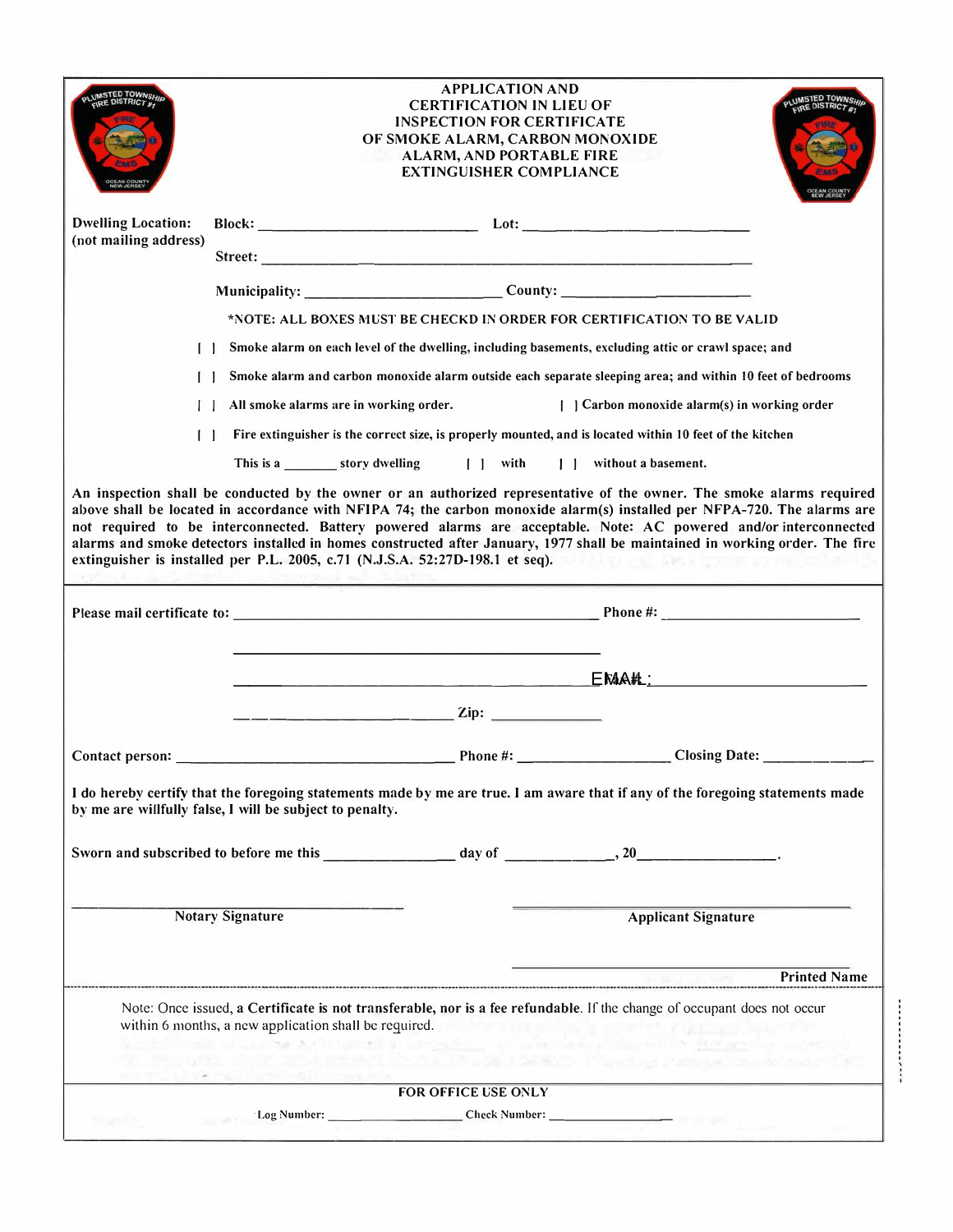| <b>APPLICATION AND</b><br><b>CERTIFICATION IN LIEU OF</b><br><b>INSPECTION FOR CERTIFICATE</b><br>OF SMOKE ALARM, CARBON MONOXIDE<br><b>ALARM, AND PORTABLE FIRE</b><br><b>EXTINGUISHER COMPLIANCE</b> |                                                          |                                                                                   |                                                                                                                                                                                                                                                                                                                                                                                                                                                                                                                                                                                       |  |
|--------------------------------------------------------------------------------------------------------------------------------------------------------------------------------------------------------|----------------------------------------------------------|-----------------------------------------------------------------------------------|---------------------------------------------------------------------------------------------------------------------------------------------------------------------------------------------------------------------------------------------------------------------------------------------------------------------------------------------------------------------------------------------------------------------------------------------------------------------------------------------------------------------------------------------------------------------------------------|--|
| <b>Dwelling Location:</b><br>(not mailing address)                                                                                                                                                     |                                                          |                                                                                   |                                                                                                                                                                                                                                                                                                                                                                                                                                                                                                                                                                                       |  |
|                                                                                                                                                                                                        |                                                          |                                                                                   |                                                                                                                                                                                                                                                                                                                                                                                                                                                                                                                                                                                       |  |
|                                                                                                                                                                                                        |                                                          | Municipality: _______________________________County: ___________________________  |                                                                                                                                                                                                                                                                                                                                                                                                                                                                                                                                                                                       |  |
|                                                                                                                                                                                                        |                                                          |                                                                                   | *NOTE: ALL BOXES MUST BE CHECKD IN ORDER FOR CERTIFICATION TO BE VALID                                                                                                                                                                                                                                                                                                                                                                                                                                                                                                                |  |
|                                                                                                                                                                                                        |                                                          |                                                                                   | Smoke alarm on each level of the dwelling, including basements, excluding attic or crawl space; and                                                                                                                                                                                                                                                                                                                                                                                                                                                                                   |  |
|                                                                                                                                                                                                        |                                                          |                                                                                   |                                                                                                                                                                                                                                                                                                                                                                                                                                                                                                                                                                                       |  |
|                                                                                                                                                                                                        |                                                          |                                                                                   | Smoke alarm and carbon monoxide alarm outside each separate sleeping area; and within 10 feet of bedrooms                                                                                                                                                                                                                                                                                                                                                                                                                                                                             |  |
|                                                                                                                                                                                                        | All smoke alarms are in working order.                   |                                                                                   | Carbon monoxide alarm(s) in working order                                                                                                                                                                                                                                                                                                                                                                                                                                                                                                                                             |  |
| $\Box$                                                                                                                                                                                                 |                                                          |                                                                                   | Fire extinguisher is the correct size, is properly mounted, and is located within 10 feet of the kitchen                                                                                                                                                                                                                                                                                                                                                                                                                                                                              |  |
|                                                                                                                                                                                                        |                                                          | This is a story dwelling [ ] with [ ] without a basement.                         |                                                                                                                                                                                                                                                                                                                                                                                                                                                                                                                                                                                       |  |
|                                                                                                                                                                                                        |                                                          |                                                                                   | An inspection shall be conducted by the owner or an authorized representative of the owner. The smoke alarms required<br>above shall be located in accordance with NFIPA 74; the carbon monoxide alarm(s) installed per NFPA-720. The alarms are<br>not required to be interconnected. Battery powered alarms are acceptable. Note: AC powered and/or interconnected<br>alarms and smoke detectors installed in homes constructed after January, 1977 shall be maintained in working order. The fire<br>extinguisher is installed per P.L. 2005, c.71 (N.J.S.A. 52:27D-198.1 et seq). |  |
|                                                                                                                                                                                                        |                                                          |                                                                                   |                                                                                                                                                                                                                                                                                                                                                                                                                                                                                                                                                                                       |  |
|                                                                                                                                                                                                        |                                                          | <u> 1989 - Johann Barn, fransk politik en og den s</u>                            | $EN4AH$ :                                                                                                                                                                                                                                                                                                                                                                                                                                                                                                                                                                             |  |
|                                                                                                                                                                                                        | <u> 2002 - Andrea Angel, Amerikaansk politi</u> k        | $\mathbf{Zip:}$                                                                   |                                                                                                                                                                                                                                                                                                                                                                                                                                                                                                                                                                                       |  |
|                                                                                                                                                                                                        |                                                          |                                                                                   |                                                                                                                                                                                                                                                                                                                                                                                                                                                                                                                                                                                       |  |
|                                                                                                                                                                                                        | by me are willfully false, I will be subject to penalty. |                                                                                   | I do hereby certify that the foregoing statements made by me are true. I am aware that if any of the foregoing statements made                                                                                                                                                                                                                                                                                                                                                                                                                                                        |  |
|                                                                                                                                                                                                        |                                                          |                                                                                   |                                                                                                                                                                                                                                                                                                                                                                                                                                                                                                                                                                                       |  |
|                                                                                                                                                                                                        | <b>Notary Signature</b>                                  |                                                                                   | <b>Applicant Signature</b>                                                                                                                                                                                                                                                                                                                                                                                                                                                                                                                                                            |  |
|                                                                                                                                                                                                        |                                                          |                                                                                   | <b>Printed Name</b>                                                                                                                                                                                                                                                                                                                                                                                                                                                                                                                                                                   |  |
| Note: Once issued, a Certificate is not transferable, nor is a fee refundable. If the change of occupant does not occur<br>within 6 months, a new application shall be required.<br><b>CONTRACTOR</b>  |                                                          |                                                                                   |                                                                                                                                                                                                                                                                                                                                                                                                                                                                                                                                                                                       |  |
|                                                                                                                                                                                                        |                                                          |                                                                                   |                                                                                                                                                                                                                                                                                                                                                                                                                                                                                                                                                                                       |  |
| FOR OFFICE USE ONLY                                                                                                                                                                                    |                                                          |                                                                                   |                                                                                                                                                                                                                                                                                                                                                                                                                                                                                                                                                                                       |  |
|                                                                                                                                                                                                        |                                                          | Log Number: _________________________Check Number: ______________________________ |                                                                                                                                                                                                                                                                                                                                                                                                                                                                                                                                                                                       |  |

----------------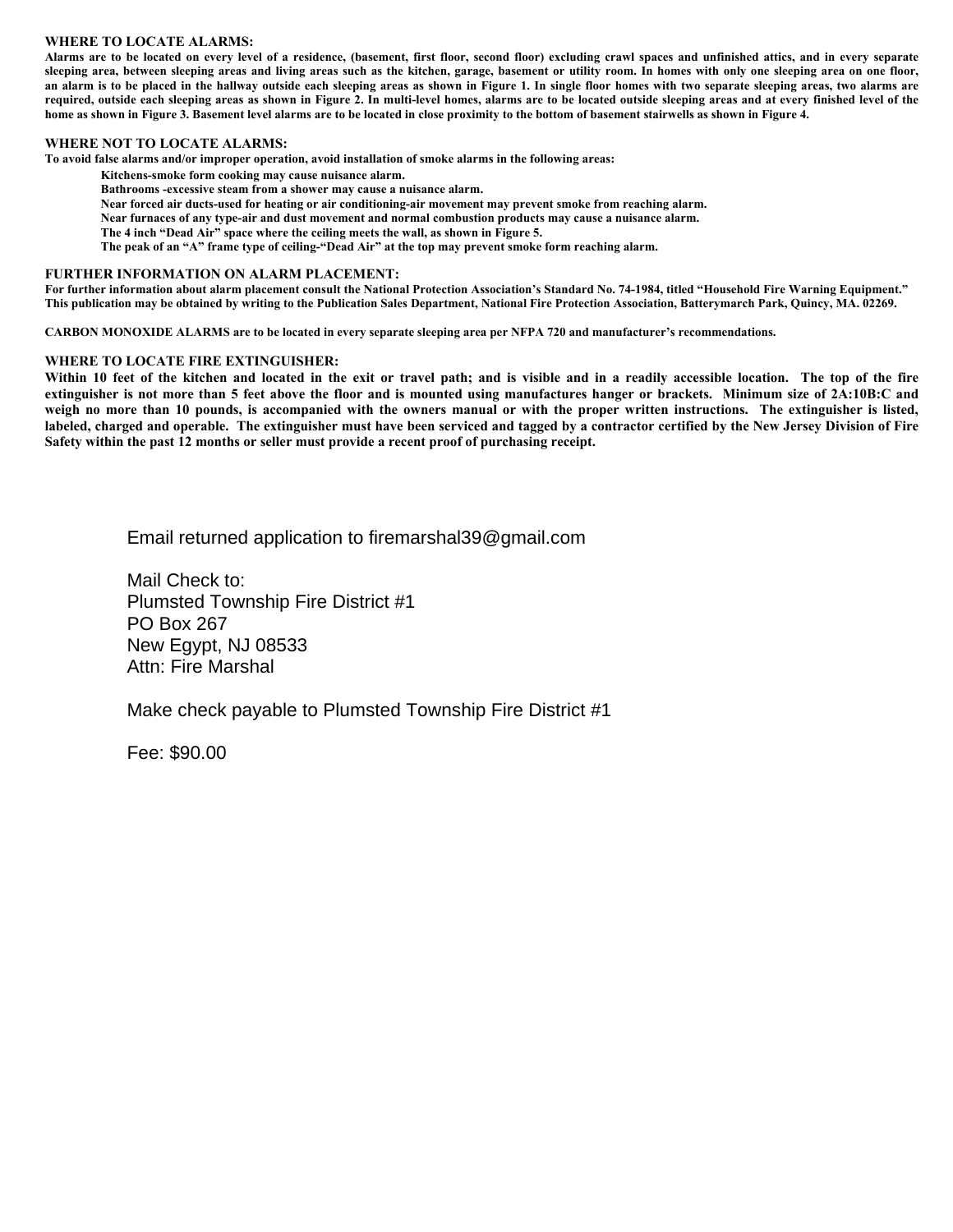## **WHERE TO LOCATE ALARMS:**

Alarms are to be located on every level of a residence, (basement, first floor, second floor) excluding crawl spaces and unfinished attics, and in every separate sleeping area, between sleeping areas and living areas such as the kitchen, garage, basement or utility room. In homes with only one sleeping area on one floor, an alarm is to be placed in the hallway outside each sleeping areas as shown in Figure 1. In single floor homes with two separate sleeping areas, two alarms are required, outside each sleeping areas as shown in Figure 2. In multi-level homes, alarms are to be located outside sleeping areas and at every finished level of the home as shown in Figure 3. Basement level alarms are to be located in close proximity to the bottom of basement stairwells as shown in Figure 4.

## **WHERE NOT TO LOCATE ALARMS:**

To avoid false alarms and/or improper operation, avoid installation of smoke alarms in the following areas:

- Kitchens-smoke form cooking may cause nuisance alarm.
- Bathrooms -excessive steam from a shower may cause a nuisance alarm.
- Near forced air ducts-used for heating or air conditioning-air movement may prevent smoke from reaching alarm.
- Near furnaces of any type-air and dust movement and normal combustion products may cause a nuisance alarm.
- The 4 inch "Dead Air" space where the ceiling meets the wall, as shown in Figure 5.
- The peak of an "A" frame type of ceiling-"Dead Air" at the top may prevent smoke form reaching alarm.

## FURTHER INFORMATION ON ALARM PLACEMENT:

For further information about alarm placement consult the National Protection Association's Standard No. 74-1984, titled "Household Fire Warning Equipment." This publication may be obtained by writing to the Publication Sales Department, National Fire Protection Association, Batterymarch Park, Quincy, MA. 02269.

CARBON MONOXIDE ALARMS are to be located in every separate sleeping area per NFPA 720 and manufacturer's recommendations.

## WHERE TO LOCATE FIRE EXTINGUISHER:

Within 10 feet of the kitchen and located in the exit or travel path; and is visible and in a readily accessible location. The top of the fire extinguisher is not more than 5 feet above the floor and is mounted using manufactures hanger or brackets. Minimum size of 2A:10B:C and weigh no more than 10 pounds, is accompanied with the owners manual or with the proper written instructions. The extinguisher is listed, labeled, charged and operable. The extinguisher must have been serviced and tagged by a contractor certified by the New Jersey Division of Fire Safety within the past 12 months or seller must provide a recent proof of purchasing receipt.

Email returned application to firemarshal 39@ gmail.com

Mail Check to: Plumsted Township Fire District #1 **PO Box 267** New Egypt, NJ 08533 Attn: Fire Marshal

Make check payable to Plumsted Township Fire District #1

Fee: \$90.00